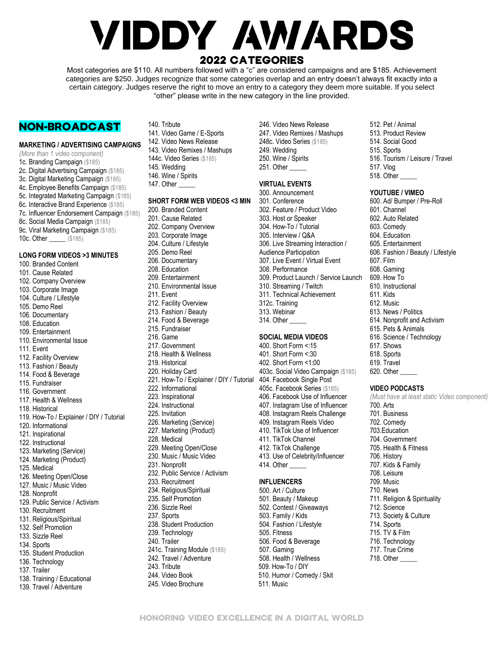# **VIDDY AWARDS** 2022 CATEGORIES

Most categories are \$110. All numbers followed with a "c" are considered campaigns and are \$185. Achievement categories are \$250. Judges recognize that some categories overlap and an entry doesn't always fit exactly into a certain category. Judges reserve the right to move an entry to a category they deem more suitable. If you select "other" please write in the new category in the line provided.

# NON-BROADCAST

# **MARKETING / ADVERTISING CAMPAIGNS**

*(More than 1 video component)* 1c[. Branding](https://www.webbyawards.com/entries-closed/#advertise-8-21419) Campaign (\$185) 2c[. Digital Advertising Campaign](https://www.webbyawards.com/entries-closed/#advertise-1506-21421) (\$185) 3c. Digital Marketing Campaign (\$185) 4c. Employee Benefits Campaign (\$185) 5c[. Integrated Marketing Campaign](https://www.webbyawards.com/entries-closed/#advertise-1488-21423) (\$185) 6c. Interactive Brand Experience (\$185) 7c[. Influencer Endorsement](https://www.webbyawards.com/entries-closed/#advertise-1668-21464) Campaign (\$185) 8c[. Social Media Campaign](https://www.webbyawards.com/entries-closed/#advertise-1514-21425) (\$185) 9c[. Viral Marketing Campaign](https://www.webbyawards.com/entries-closed/#advertise-4076-21467) (\$185) 10c. Other \_\_\_\_\_\_ (\$185) **LONG FORM VIDEOS >3 MINUTES** 100. Branded Content 101. Cause Related 102. Company Overview 103. Corporate Image 104. Culture / Lifestyle 105. Demo Reel

106. Documentary 108. Education 109. Entertainment 110. Environmental Issue

112. Facility Overview 113. Fashion / Beauty 114. Food & Beverage 115. Fundraiser 116. Government 117. Health & Wellness 118. Historical

120. Informational 121. Inspirational 122. Instructional 123. Marketing (Service) 124. Marketing (Product)

125. Medical

128. Nonprofit

130. Recruitment 131. Religious/Spiritual 132. Self Promotion 133. Sizzle Reel 134. Sports

126. Meeting Open/Close 127. Music / Music Video

135. Student Production 136. Technology 137. Trailer

138. Training / Educational 139. Travel / Adventure

129. Public Service / Activism

119. How-To / Explainer / DIY / Tutorial

111. Event

140. Tribute 141. Video Game / E-Sports 142. Video News Release 143. Video Remixes / Mashups 144c. Video Series (\$185) 145. Wedding 146. Wine / Spirits 147. Other

# **SHORT FORM WEB VIDEOS <3 MIN**

200. Branded Content 201. Cause Related 202. Company Overview 203. Corporate Image 204. Culture / Lifestyle 205. Demo Reel 206. Documentary 208. Education 209. Entertainment 210. Environmental Issue 211. Event 212. Facility Overview 213. Fashion / Beauty 214. Food & Beverage 215. Fundraiser 216. Game 217. Government 218. Health & Wellness 219. Historical 220. Holiday Card 221. How-To / Explainer / DIY / Tutorial 404. Facebook Single Post 222. Informational 223. Inspirational 224. Instructional 225. Invitation 226. Marketing (Service) 227. Marketing (Product) 228. Medical 229. Meeting Open/Close 230. Music / Music Video 231. Nonprofit 232. Public Service / Activism 233. Recruitment 234. Religious/Spiritual 235. Self Promotion 236. Sizzle Reel 237. Sports 238. Student Production 239. Technology 240. Trailer 241c. Training Module (\$185) 242. Travel / Adventure 243. Tribute 244. Video Book

245. Video Brochure

#### 246. Video News Release 247. Video Remixes / Mashups 248c. Video Series (\$185) 249. Wedding 250. Wine / Spirits 251. Other \_\_\_\_\_

# **VIRTUAL EVENTS**

300. Announcement 301. Conference 302. Feature / Product Video 303. Host or Speaker 304. How-To / Tutorial 305. Interview / Q&A 306. Live Streaming Interaction / Audience Participation 307. Live Event / Virtual Event 308. Performance 309. Product Launch / Service Launch 310. Streaming / Twitch 311. Technical Achievement 312c. Training 313. Webinar 314. Other

# **SOCIAL MEDIA VIDEOS**

400. Short Form <:15 401. Short Form <:30 402. Short Form <1:00 403c. Social Video Campaign (\$185) 405c. Facebook Series (\$185) 406. Facebook Use of Influencer 407. Instagram Use of Influencer 408. Instagram Reels Challenge 409. Instagram Reels Video 410. TikTok Use of Influencer 411. TikTok Channel 412. TikTok Challenge 413. Use of Celebrity/Influencer 414. Other

#### **[INFLUENCERS](https://mag.octoly.com/here-are-the-top-10-most-popular-types-of-videos-on-youtube-4ea1e1a192ac)** 500. Art / Culture

501. Beauty / Makeup 502. Contest / Giveaways 503. Family / Kids 504. Fashion / Lifestyle 505. Fitness 506. Food & Beverage 507. Gaming 508. Health / Wellness 509. How-To / DIY 510. Humor / Comedy / Skit 511. Music

512. Pet / Animal 513. Product Review 514. Social Good 515. Sports 516. Tourism / Leisure / Travel 517. Vlog 518. Other \_\_\_\_\_

## **YOUTUBE / VIMEO**

600. Ad/ Bumper / Pre-Roll 601. Channel 602. Auto Related 603. Comedy 604. Education 605. Entertainment 606. Fashion / Beauty / Lifestyle 607. Film 608. Gaming 609. How To 610. Instructional 611. Kids 612. Music 613. News / Politics 614. Nonprofit and Activism 615. Pets & Animals 616. Science / Technology 617. Shows 618. Sports 619. Travel

#### 620. Other

# **VIDEO PODCASTS**

*(Must have at least static Video component)* 700. [Arts](https://podcasts.apple.com/us/genre/podcasts-arts/id1301) 701. [Business](https://podcasts.apple.com/us/genre/podcasts-business/id1321) 702. [Comedy](https://podcasts.apple.com/us/genre/podcasts-comedy/id1303) 703[.Education](https://podcasts.apple.com/us/genre/podcasts-education/id1304) 704. [Government](https://podcasts.apple.com/us/genre/podcasts-government/id1511) 705. [Health & Fitness](https://podcasts.apple.com/us/genre/podcasts-health-fitness/id1512) 706. [History](https://podcasts.apple.com/us/genre/podcasts-history/id1487) 707. [Kids & Family](https://podcasts.apple.com/us/genre/podcasts-kids-family/id1305) 708. [Leisure](https://podcasts.apple.com/us/genre/podcasts-leisure/id1502) 709. [Music](https://podcasts.apple.com/us/genre/podcasts-music/id1310) 710. [News](https://podcasts.apple.com/us/genre/podcasts-news/id1489) 711. [Religion & Spirituality](https://podcasts.apple.com/us/genre/podcasts-religion-spirituality/id1314) 712. [Science](https://podcasts.apple.com/us/genre/podcasts-science/id1533) 713. [Society & Culture](https://podcasts.apple.com/us/genre/podcasts-society-culture/id1324) 714. [Sports](https://podcasts.apple.com/us/genre/podcasts-sports/id1545) 715. [TV & Film](https://podcasts.apple.com/us/genre/podcasts-tv-film/id1309) 716. [Technology](https://podcasts.apple.com/us/genre/podcasts-technology/id1318) 717. [True Crime](https://podcasts.apple.com/us/genre/podcasts-true-crime/id1488)

- 718. Other \_\_\_\_\_
- HONORING VIDEO EXCELLENCE IN A DIGITAL WORLD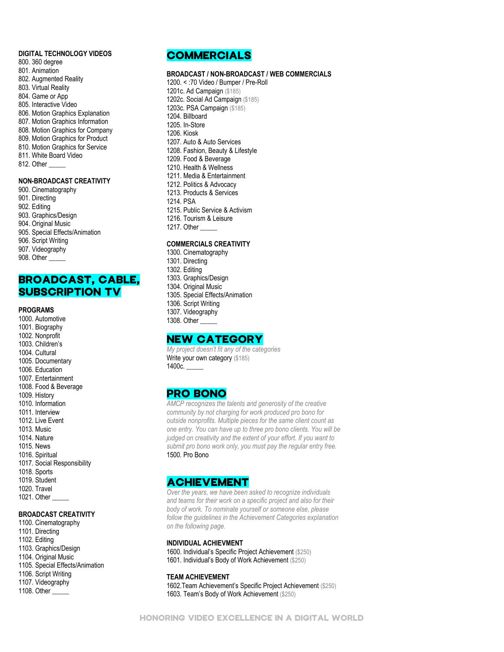## **DIGITAL TECHNOLOGY VIDEOS**

- 800. 360 degree
- 801. Animation
- 802. Augmented Reality
- 803. Virtual Reality
- 804. Game or App
- 805. Interactive Video
- 806. Motion Graphics Explanation 807. Motion Graphics Information
- 808. Motion Graphics for Company
- 809. Motion Graphics for Product
- 810. Motion Graphics for Service
- 811. White Board Video
- 812. Other

#### **NON-BROADCAST CREATIVITY**

900. Cinematography 901. Directing 902. Editing 903. Graphics/Design 904. Original Music 905. Special Effects/Animation 906. Script Writing 907. Videography 908. Other \_\_\_\_\_

# BROADCAST, CABLE, SUBSCRIPTION TV

#### **PROGRAMS**

1000. Automotive 1001. Biography 1002. Nonprofit 1003. Children's 1004. Cultural 1005. Documentary 1006. Education 1007. Entertainment 1008. Food & Beverage 1009. History 1010. Information 1011. Interview 1012. Live Event 1013. Music 1014. Nature 1015. News 1016. Spiritual 1017. Social Responsibility 1018. Sports 1019. Student 1020. Travel 1021. Other \_\_\_\_\_

# **BROADCAST CREATIVITY**

1100. Cinematography 1101. Directing 1102. Editing 1103. Graphics/Design 1104. Original Music 1105. Special Effects/Animation 1106. Script Writing 1107. Videography

# 1108. Other \_\_\_\_\_

# **COMMERCIALS**

#### **BROADCAST / NON-BROADCAST / WEB COMMERCIALS**

1200. < :70 Video / Bumper / Pre-Roll 1201c. Ad Campaign (\$185) 1202c. Social Ad Campaign (\$185) 1203c. PSA Campaign (\$185) 1204. Billboard 1205. In-Store 1206. Kiosk 1207. [Auto & Auto Services](https://www.webbyawards.com/entries-closed/#advertise-1541-21429) 1208. [Fashion, Beauty & Lifestyle](https://www.webbyawards.com/entries-closed/#advertise-4061-21435) 1209. [Food & Beverage](https://www.webbyawards.com/entries-closed/#advertise-245-21430) 1210. [Health & Wellness](https://www.webbyawards.com/entries-closed/#advertise-1552-21436)  1211. [Media & Entertainment](https://www.webbyawards.com/entries-closed/#advertise-1554-21431) 1212. [Politics & Advocacy](https://www.webbyawards.com/entries-closed/#advertise-5509-21747) 1213. [Products & Services](https://www.webbyawards.com/entries-closed/#advertise-1646-21434) 1214. PSA 1215. [Public Service & Activism](https://www.webbyawards.com/entries-closed/#advertise-1011-21432) 1216. [Tourism & Leisure](https://www.webbyawards.com/entries-closed/#advertise-1558-21433) 1217. Other \_\_\_\_\_

# **COMMERCIALS CREATIVITY**

- 1300. Cinematography 1301. Directing 1302. Editing 1303. Graphics/Design 1304. Original Music 1305. Special Effects/Animation 1306. Script Writing 1307. Videography
- 1308. Other
- 

# NEW CATEGORY

*My project doesn't fit any of the categories* Write your own category (\$185) 1400c. \_\_\_\_\_

# PRO BONO

*AMCP recognizes the talents and generosity of the creative community by not charging for work produced pro bono for outside nonprofits. Multiple pieces for the same client count as one entry. You can have up to three pro bono clients. You will be judged on creativity and the extent of your effort. If you want to submit pro bono work only, you must pay the regular entry free.* 1500. Pro Bono

# ACHIEVEMENT

*Over the years, we have been asked to recognize individuals and teams for their work on a specific project and also for their body of work. To nominate yourself or someone else, please follow the guidelines in the Achievement Categories explanation on the following page.*

#### **INDIVIDUAL ACHIEVMENT**

1600. Individual's Specific Project Achievement (\$250) 1601. Individual's Body of Work Achievement (\$250)

#### **TEAM ACHIEVEMENT**

1602.Team Achievement's Specific Project Achievement (\$250) 1603. Team's Body of Work Achievement (\$250)